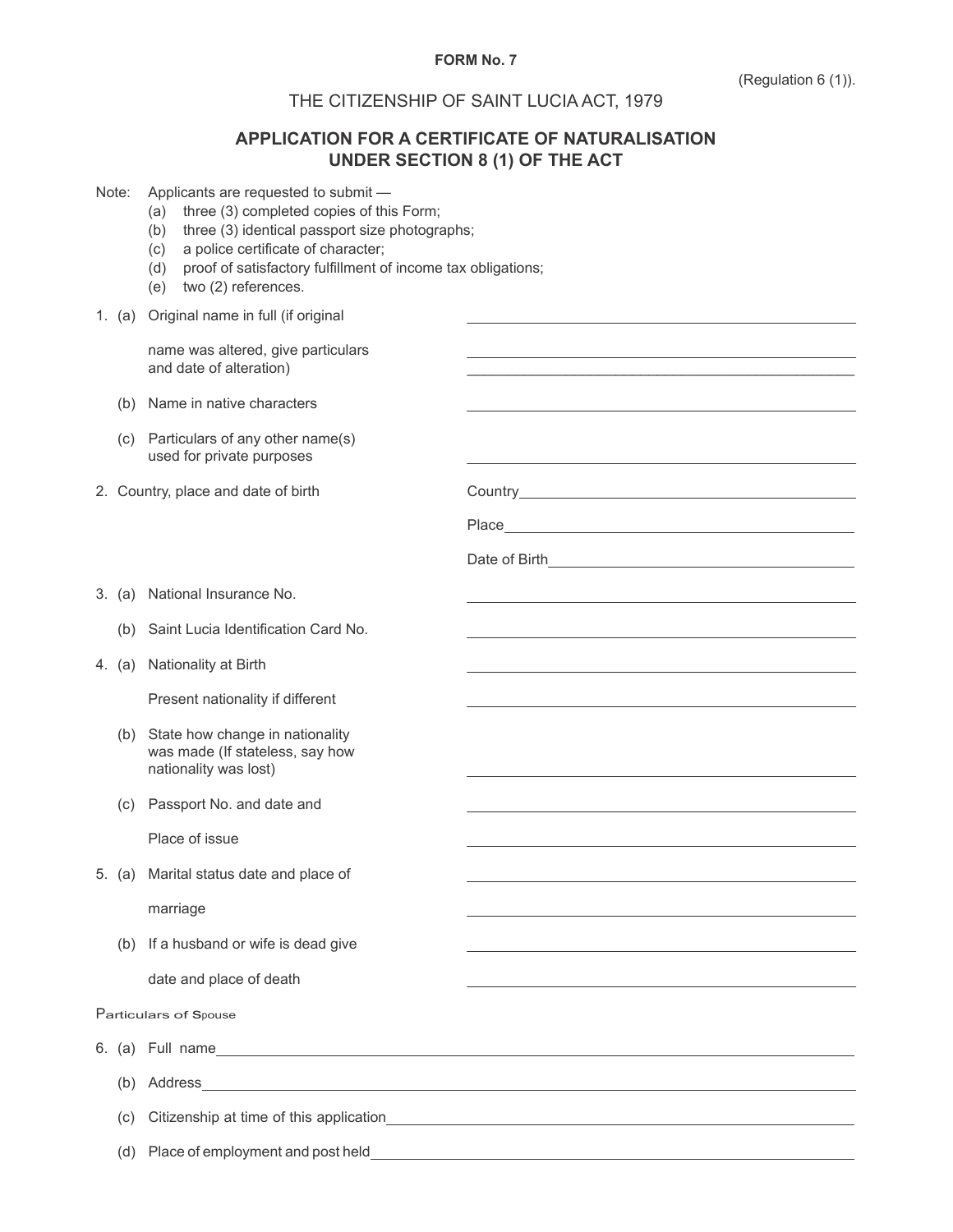## **FORM No. 7**

\_\_\_\_\_\_\_\_\_\_\_\_\_\_\_\_\_\_\_\_\_\_\_\_\_\_\_\_\_\_\_\_\_\_\_\_\_\_\_\_\_\_\_\_\_\_\_

Date of Birth

Country **Country Country Country Country** 

## THE CITIZENSHIP OF SAINT LUCIA ACT, 1979

## **APPLICATION FOR A CERTIFICATE OF NATURALISATION UNDER SECTION 8 (1) OF THE ACT**

**Place** 

| Note: | Applicants are requested to submit |  |  |  |  |
|-------|------------------------------------|--|--|--|--|
|-------|------------------------------------|--|--|--|--|

- (a) three (3) completed copies of this Form;
- (b) three (3) identical passport size photographs;
- (c) a police certificate of character;
- (d) proof of satisfactory fulfillment of income tax obligations;
- (e) two (2) references.

1. (a) Original name in full (if original

name was altered, give particulars and date of alteration)

- (b) Name in native characters
- (c) Particulars of any other name(s) used for private purposes

2. Country, place and date of birth

| 3. (a) National Insurance No. |  |
|-------------------------------|--|
|-------------------------------|--|

- (b) Saint Lucia Identification Card No.
- 4. (a) Nationality at Birth

Present nationality if different

- (b) State how change in nationality was made (If stateless, say how nationality was lost)
- (c) Passport No. and date and

Place of issue

5. (a) Marital status date and place of

marriage

(b) If a husband or wife is dead give

date and place of death

Particulars of Spouse

6. (a) Full name

(b) Address

(c) Citizenship at time of this application

(d) Place of employment and post held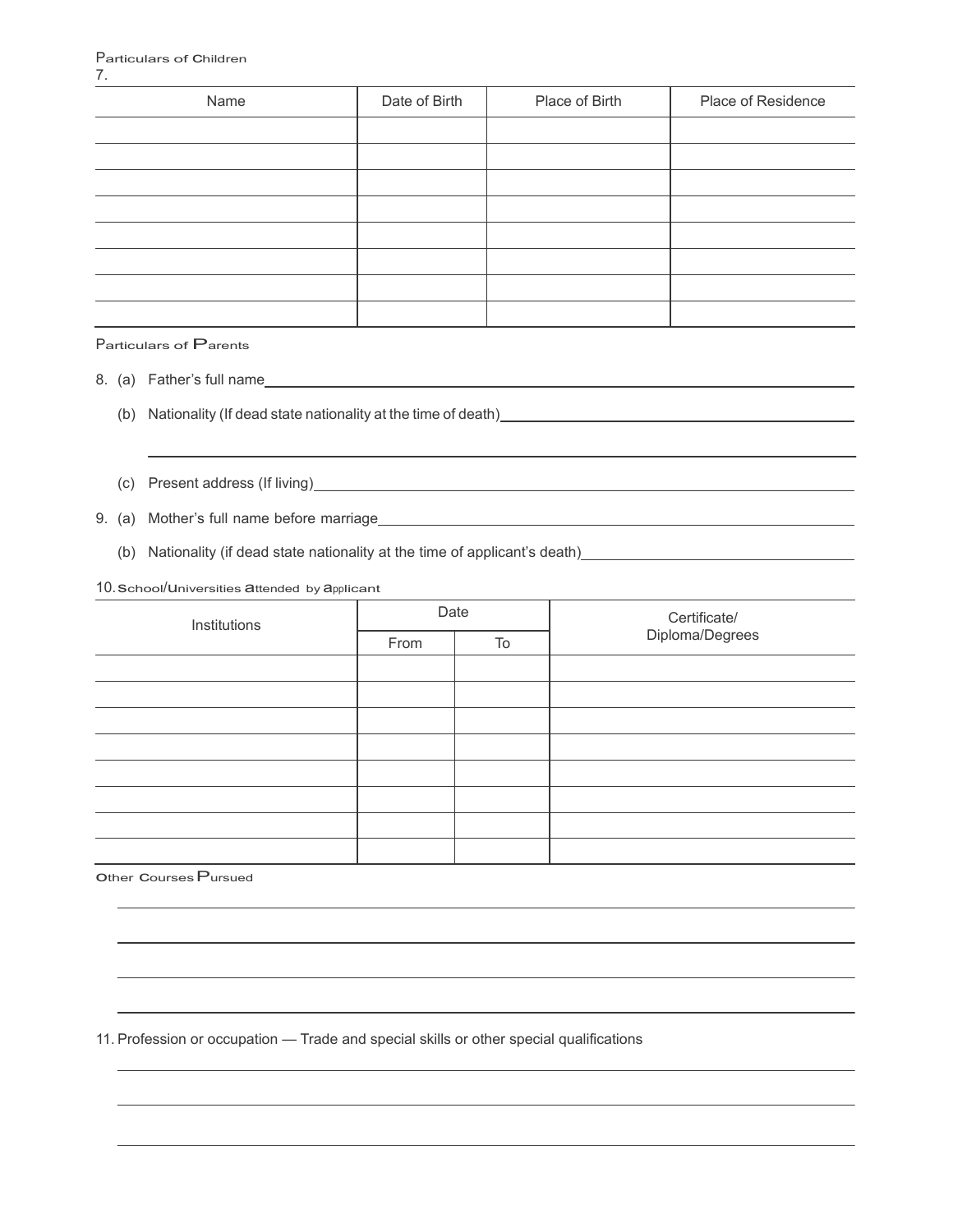| Name | Date of Birth | Place of Birth | Place of Residence |
|------|---------------|----------------|--------------------|
|      |               |                |                    |
|      |               |                |                    |
|      |               |                |                    |
|      |               |                |                    |
|      |               |                |                    |
|      |               |                |                    |
|      |               |                |                    |
|      |               |                |                    |

Particulars of Parents

- 8. (a) Father's full name
	- (b) Nationality (If dead state nationality at the time of death)
	- (c) Present address (If living)

9. (a) Mother's full name before marriage

(b) Nationality (if dead state nationality at the time of applicant's death)

10. School/Universities attended by applicant

| Institutions | Date |    | Certificate/<br>Diploma/Degrees |  |
|--------------|------|----|---------------------------------|--|
|              | From | To |                                 |  |
|              |      |    |                                 |  |
|              |      |    |                                 |  |
|              |      |    |                                 |  |
|              |      |    |                                 |  |
|              |      |    |                                 |  |
|              |      |    |                                 |  |
|              |      |    |                                 |  |
|              |      |    |                                 |  |
|              |      |    |                                 |  |

other courses Pursued

11. Profession or occupation — Trade and special skills or other special qualifications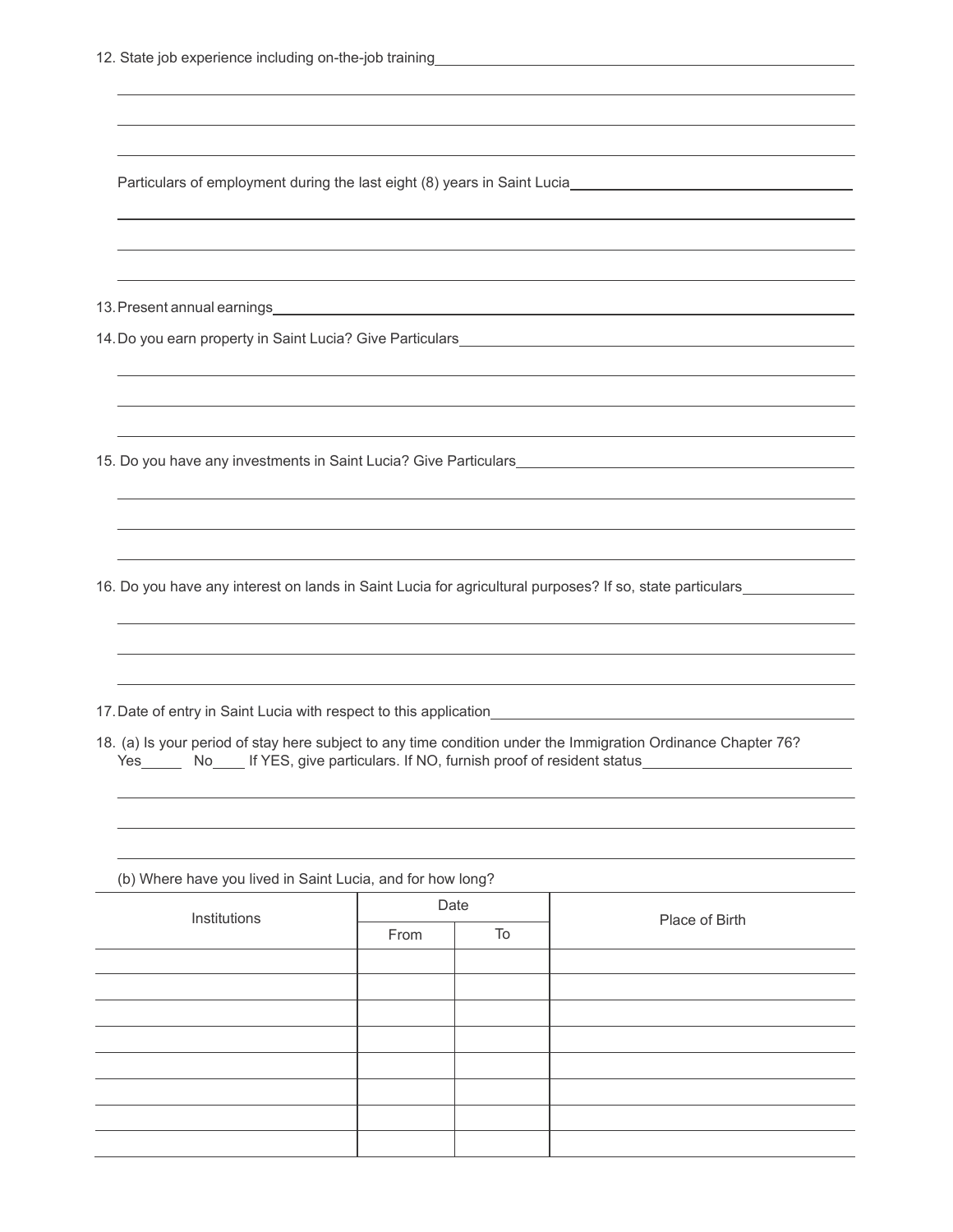|                                                            |                    |  | Particulars of employment during the last eight (8) years in Saint Lucia <b>Exercise 2018</b>                                                                                             |
|------------------------------------------------------------|--------------------|--|-------------------------------------------------------------------------------------------------------------------------------------------------------------------------------------------|
|                                                            |                    |  |                                                                                                                                                                                           |
|                                                            |                    |  |                                                                                                                                                                                           |
|                                                            |                    |  |                                                                                                                                                                                           |
|                                                            |                    |  |                                                                                                                                                                                           |
|                                                            |                    |  |                                                                                                                                                                                           |
|                                                            |                    |  |                                                                                                                                                                                           |
|                                                            |                    |  | 16. Do you have any interest on lands in Saint Lucia for agricultural purposes? If so, state particulars                                                                                  |
|                                                            |                    |  |                                                                                                                                                                                           |
|                                                            |                    |  | ,我们也不能在这里的时候,我们也不能在这里的时候,我们也不能会在这里的时候,我们也不能会在这里的时候,我们也不能会在这里的时候,我们也不能会在这里的时候,我们也不                                                                                                         |
|                                                            |                    |  | 18. (a) Is your period of stay here subject to any time condition under the Immigration Ordinance Chapter 76?<br>Yes No If YES, give particulars. If NO, furnish proof of resident status |
|                                                            |                    |  |                                                                                                                                                                                           |
| (b) Where have you lived in Saint Lucia, and for how long? |                    |  |                                                                                                                                                                                           |
| Institutions                                               | Date<br>To<br>From |  | Place of Birth                                                                                                                                                                            |
|                                                            |                    |  |                                                                                                                                                                                           |
|                                                            |                    |  |                                                                                                                                                                                           |
|                                                            |                    |  |                                                                                                                                                                                           |
|                                                            |                    |  |                                                                                                                                                                                           |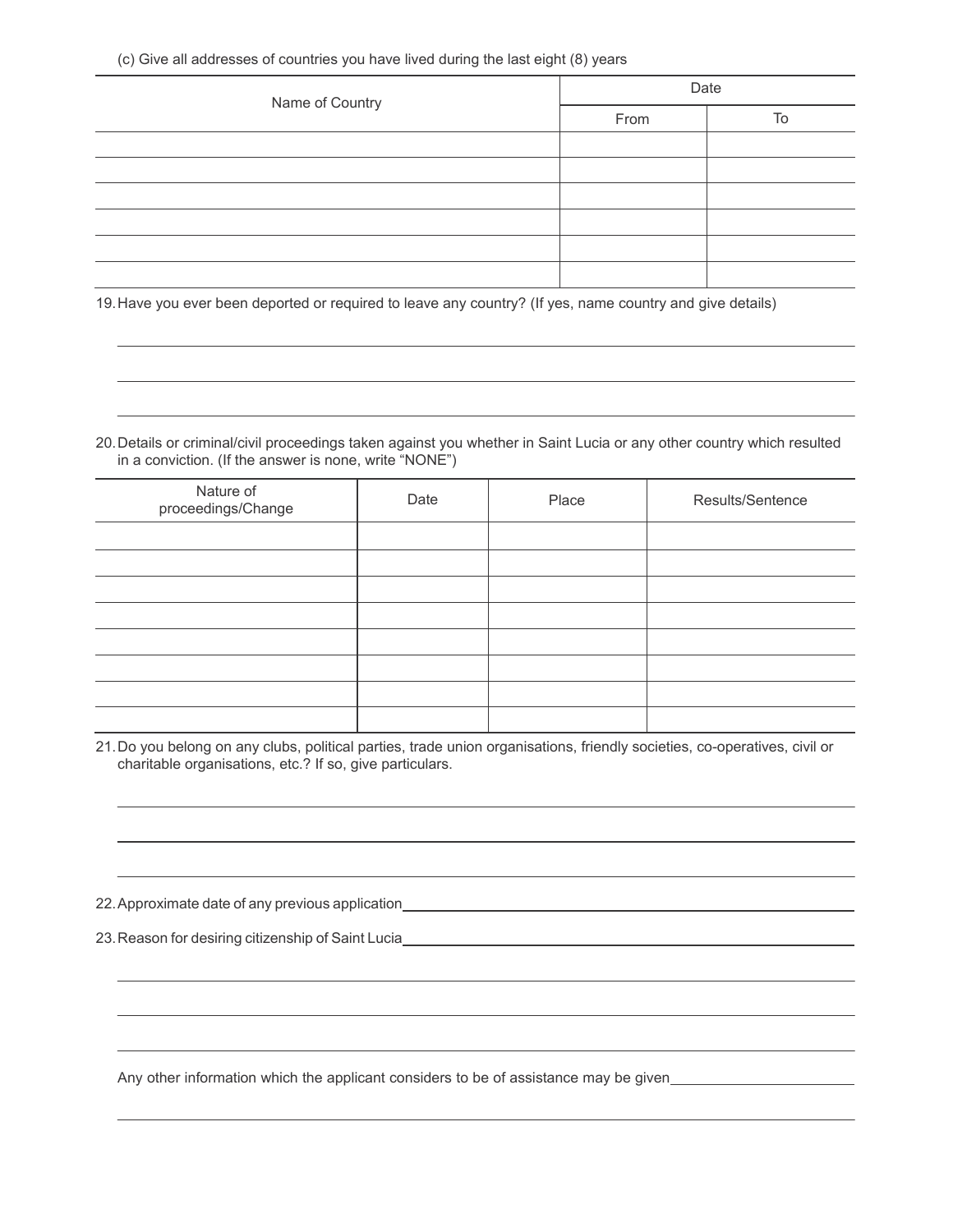| Name of Country | Date |    |  |
|-----------------|------|----|--|
|                 | From | To |  |
|                 |      |    |  |
|                 |      |    |  |
|                 |      |    |  |
|                 |      |    |  |
|                 |      |    |  |
|                 |      |    |  |

19. Have you ever been deported or required to leave any country? (If yes, name country and give details)

20. Details or criminal/civil proceedings taken against you whether in Saint Lucia or any other country which resulted in a conviction. (If the answer is none, write "NONE")

| Nature of<br>proceedings/Change | Date | Place | Results/Sentence |
|---------------------------------|------|-------|------------------|
|                                 |      |       |                  |
|                                 |      |       |                  |
|                                 |      |       |                  |
|                                 |      |       |                  |
|                                 |      |       |                  |
|                                 |      |       |                  |
|                                 |      |       |                  |
|                                 |      |       |                  |

21. Do you belong on any clubs, political parties, trade union organisations, friendly societies, co-operatives, civil or charitable organisations, etc.? If so, give particulars.

22. Approximate date of any previous application

23. Reason for desiring citizenship of Saint Lucia

Any other information which the applicant considers to be of assistance may be given